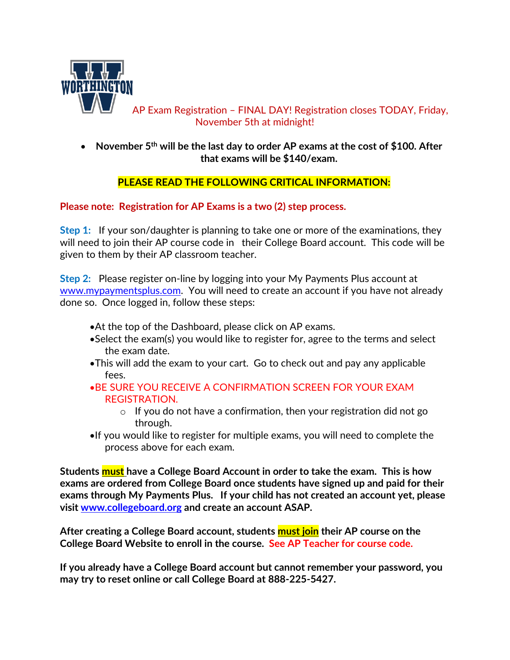

AP Exam Registration – FINAL DAY! Registration closes TODAY, Friday, November 5th at midnight!

 **November 5th will be the last day to order AP exams at the cost of \$100. After that exams will be \$140/exam.**

## **PLEASE READ THE FOLLOWING CRITICAL INFORMATION:**

## **Please note: Registration for AP Exams is a two (2) step process.**

**Step 1:** If your son/daughter is planning to take one or more of the examinations, they will need to join their AP course code in their College Board account. This code will be given to them by their AP classroom teacher.

**Step 2:** Please register on-line by logging into your My Payments Plus account at [www.mypaymentsplus.com.](http://www.mypaymentsplus.com/) You will need to create an account if you have not already done so. Once logged in, follow these steps:

- At the top of the Dashboard, please click on AP exams.
- Select the exam(s) you would like to register for, agree to the terms and select the exam date.
- This will add the exam to your cart. Go to check out and pay any applicable fees.
- BE SURE YOU RECEIVE A CONFIRMATION SCREEN FOR YOUR EXAM REGISTRATION.
	- $\circ$  If you do not have a confirmation, then your registration did not go through.
- If you would like to register for multiple exams, you will need to complete the process above for each exam.

**Students must have a College Board Account in order to take the exam. This is how exams are ordered from College Board once students have signed up and paid for their exams through My Payments Plus. If your child has not created an account yet, please visit [www.collegeboard.org](http://www.collegeboard.org/) and create an account ASAP.** 

**After creating a College Board account, students must join their AP course on the College Board Website to enroll in the course. See AP Teacher for course code.**

**If you already have a College Board account but cannot remember your password, you may try to reset online or call College Board at 888-225-5427.**